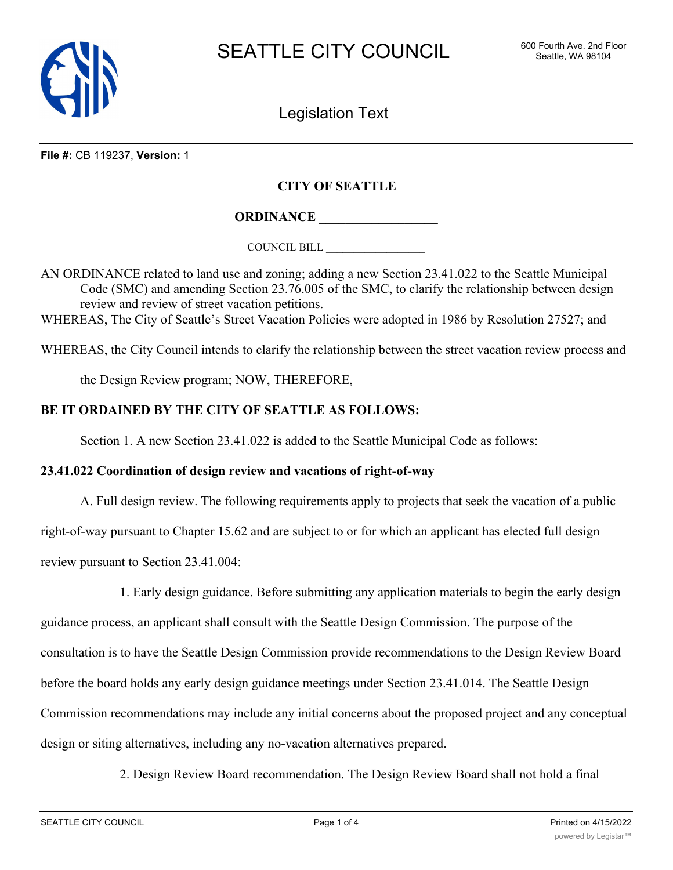

Legislation Text

**File #:** CB 119237, **Version:** 1

## **CITY OF SEATTLE**

**ORDINANCE \_\_\_\_\_\_\_\_\_\_\_\_\_\_\_\_\_\_**

COUNCIL BILL \_\_\_\_\_\_\_\_\_\_\_\_\_\_\_\_\_\_

AN ORDINANCE related to land use and zoning; adding a new Section 23.41.022 to the Seattle Municipal Code (SMC) and amending Section 23.76.005 of the SMC, to clarify the relationship between design review and review of street vacation petitions.

WHEREAS, The City of Seattle's Street Vacation Policies were adopted in 1986 by Resolution 27527; and

WHEREAS, the City Council intends to clarify the relationship between the street vacation review process and

the Design Review program; NOW, THEREFORE,

## **BE IT ORDAINED BY THE CITY OF SEATTLE AS FOLLOWS:**

Section 1. A new Section 23.41.022 is added to the Seattle Municipal Code as follows:

## **23.41.022 Coordination of design review and vacations of right-of-way**

A. Full design review. The following requirements apply to projects that seek the vacation of a public

right-of-way pursuant to Chapter 15.62 and are subject to or for which an applicant has elected full design

review pursuant to Section 23.41.004:

1. Early design guidance. Before submitting any application materials to begin the early design guidance process, an applicant shall consult with the Seattle Design Commission. The purpose of the consultation is to have the Seattle Design Commission provide recommendations to the Design Review Board before the board holds any early design guidance meetings under Section 23.41.014. The Seattle Design Commission recommendations may include any initial concerns about the proposed project and any conceptual design or siting alternatives, including any no-vacation alternatives prepared.

2. Design Review Board recommendation. The Design Review Board shall not hold a final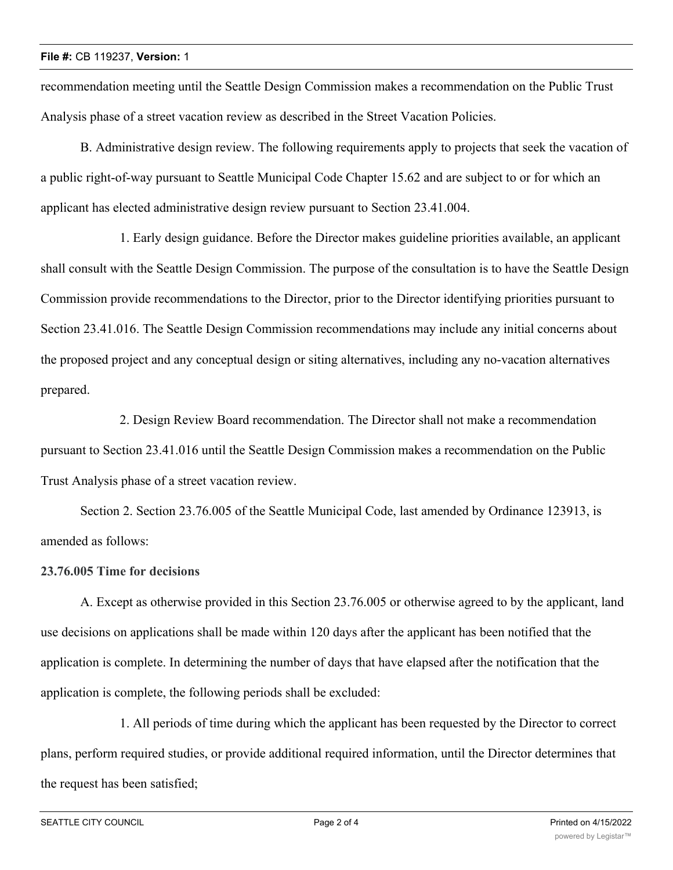recommendation meeting until the Seattle Design Commission makes a recommendation on the Public Trust Analysis phase of a street vacation review as described in the Street Vacation Policies.

B. Administrative design review. The following requirements apply to projects that seek the vacation of a public right-of-way pursuant to Seattle Municipal Code Chapter 15.62 and are subject to or for which an applicant has elected administrative design review pursuant to Section 23.41.004.

1. Early design guidance. Before the Director makes guideline priorities available, an applicant shall consult with the Seattle Design Commission. The purpose of the consultation is to have the Seattle Design Commission provide recommendations to the Director, prior to the Director identifying priorities pursuant to Section 23.41.016. The Seattle Design Commission recommendations may include any initial concerns about the proposed project and any conceptual design or siting alternatives, including any no-vacation alternatives prepared.

2. Design Review Board recommendation. The Director shall not make a recommendation pursuant to Section 23.41.016 until the Seattle Design Commission makes a recommendation on the Public Trust Analysis phase of a street vacation review.

Section 2. Section 23.76.005 of the Seattle Municipal Code, last amended by Ordinance 123913, is amended as follows:

## **23.76.005 Time for decisions**

A. Except as otherwise provided in this Section 23.76.005 or otherwise agreed to by the applicant, land use decisions on applications shall be made within 120 days after the applicant has been notified that the application is complete. In determining the number of days that have elapsed after the notification that the application is complete, the following periods shall be excluded:

1. All periods of time during which the applicant has been requested by the Director to correct plans, perform required studies, or provide additional required information, until the Director determines that the request has been satisfied;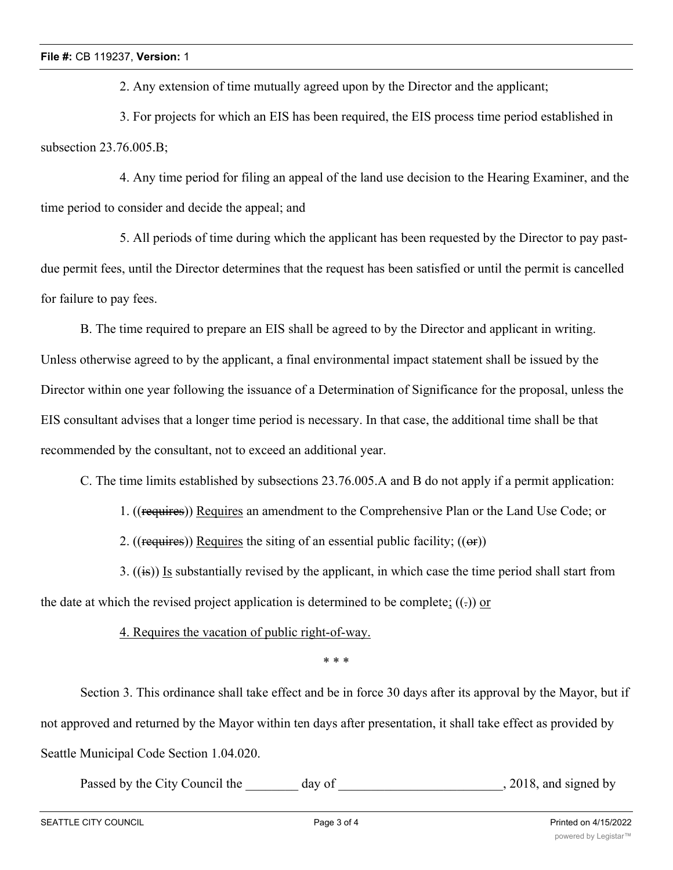2. Any extension of time mutually agreed upon by the Director and the applicant;

3. For projects for which an EIS has been required, the EIS process time period established in subsection 23.76.005.B;

4. Any time period for filing an appeal of the land use decision to the Hearing Examiner, and the time period to consider and decide the appeal; and

5. All periods of time during which the applicant has been requested by the Director to pay pastdue permit fees, until the Director determines that the request has been satisfied or until the permit is cancelled for failure to pay fees.

B. The time required to prepare an EIS shall be agreed to by the Director and applicant in writing. Unless otherwise agreed to by the applicant, a final environmental impact statement shall be issued by the Director within one year following the issuance of a Determination of Significance for the proposal, unless the EIS consultant advises that a longer time period is necessary. In that case, the additional time shall be that recommended by the consultant, not to exceed an additional year.

C. The time limits established by subsections 23.76.005.A and B do not apply if a permit application:

1. ((requires)) Requires an amendment to the Comprehensive Plan or the Land Use Code; or

2. ((requires)) Requires the siting of an essential public facility;  $((\theta \cdot \mathbf{r}))$ 

3.  $((\mathbf{is}))$  Is substantially revised by the applicant, in which case the time period shall start from the date at which the revised project application is determined to be complete;  $((.)$  or

4. Requires the vacation of public right-of-way.

\* \* \*

Section 3. This ordinance shall take effect and be in force 30 days after its approval by the Mayor, but if not approved and returned by the Mayor within ten days after presentation, it shall take effect as provided by Seattle Municipal Code Section 1.04.020.

Passed by the City Council the day of the comparison of the comparison of the comparison of the comparison of the comparison of the comparison of the comparison of the comparison of the comparison of the comparison of the